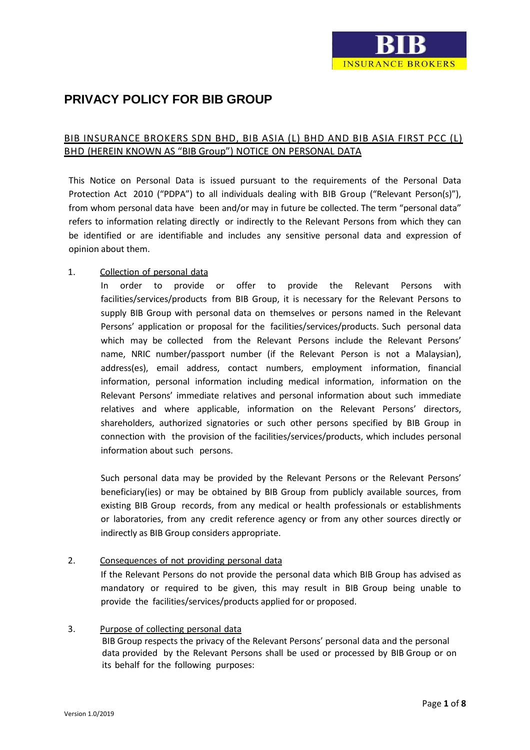# **PRIVACY POLICY FOR BIB GROUP**

# BIB INSURANCE BROKERS SDN BHD, BIB ASIA (L) BHD AND BIB ASIA FIRST PCC (L) BHD (HEREIN KNOWN AS "BIB Group") NOTICE ON PERSONAL DATA

This Notice on Personal Data is issued pursuant to the requirements of the Personal Data Protection Act 2010 ("PDPA") to all individuals dealing with BIB Group ("Relevant Person(s)"), from whom personal data have been and/or may in future be collected. The term "personal data" refers to information relating directly or indirectly to the Relevant Persons from which they can be identified or are identifiable and includes any sensitive personal data and expression of opinion about them.

## 1. Collection of personal data

In order to provide or offer to provide the Relevant Persons with facilities/services/products from BIB Group, it is necessary for the Relevant Persons to supply BIB Group with personal data on themselves or persons named in the Relevant Persons' application or proposal for the facilities/services/products. Such personal data which may be collected from the Relevant Persons include the Relevant Persons' name, NRIC number/passport number (if the Relevant Person is not a Malaysian), address(es), email address, contact numbers, employment information, financial information, personal information including medical information, information on the Relevant Persons' immediate relatives and personal information about such immediate relatives and where applicable, information on the Relevant Persons' directors, shareholders, authorized signatories or such other persons specified by BIB Group in connection with the provision of the facilities/services/products, which includes personal information about such persons.

Such personal data may be provided by the Relevant Persons or the Relevant Persons' beneficiary(ies) or may be obtained by BIB Group from publicly available sources, from existing BIB Group records, from any medical or health professionals or establishments or laboratories, from any credit reference agency or from any other sources directly or indirectly as BIB Group considers appropriate.

# 2. Consequences of not providing personal data

If the Relevant Persons do not provide the personal data which BIB Group has advised as mandatory or required to be given, this may result in BIB Group being unable to provide the facilities/services/products applied for or proposed.

## 3. Purpose of collecting personal data

BIB Group respects the privacy of the Relevant Persons' personal data and the personal data provided by the Relevant Persons shall be used or processed by BIB Group or on its behalf for the following purposes: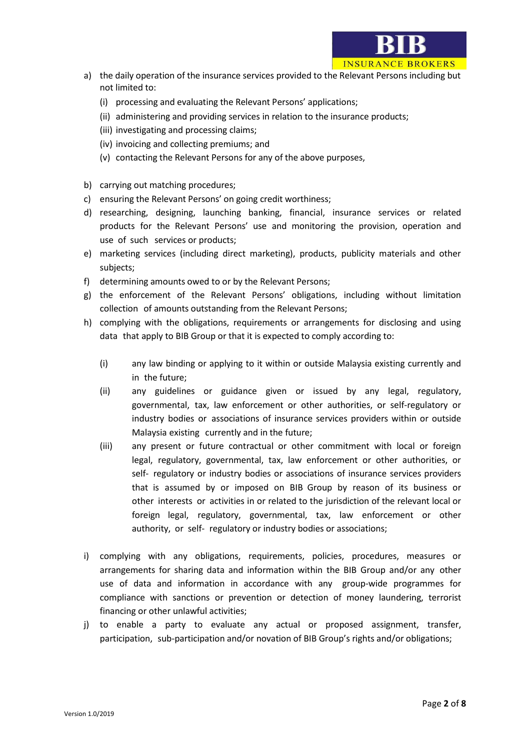

- a) the daily operation of the insurance services provided to the Relevant Persons including but not limited to:
	- (i) processing and evaluating the Relevant Persons' applications;
	- (ii) administering and providing services in relation to the insurance products;
	- (iii) investigating and processing claims;
	- (iv) invoicing and collecting premiums; and
	- (v) contacting the Relevant Persons for any of the above purposes,
- b) carrying out matching procedures;
- c) ensuring the Relevant Persons' on going credit worthiness;
- d) researching, designing, launching banking, financial, insurance services or related products for the Relevant Persons' use and monitoring the provision, operation and use of such services or products;
- e) marketing services (including direct marketing), products, publicity materials and other subjects;
- f) determining amounts owed to or by the Relevant Persons;
- g) the enforcement of the Relevant Persons' obligations, including without limitation collection of amounts outstanding from the Relevant Persons;
- h) complying with the obligations, requirements or arrangements for disclosing and using data that apply to BIB Group or that it is expected to comply according to:
	- (i) any law binding or applying to it within or outside Malaysia existing currently and in the future;
	- (ii) any guidelines or guidance given or issued by any legal, regulatory, governmental, tax, law enforcement or other authorities, or self-regulatory or industry bodies or associations of insurance services providers within or outside Malaysia existing currently and in the future;
	- (iii) any present or future contractual or other commitment with local or foreign legal, regulatory, governmental, tax, law enforcement or other authorities, or self- regulatory or industry bodies or associations of insurance services providers that is assumed by or imposed on BIB Group by reason of its business or other interests or activities in or related to the jurisdiction of the relevant local or foreign legal, regulatory, governmental, tax, law enforcement or other authority, or self- regulatory or industry bodies or associations;
- i) complying with any obligations, requirements, policies, procedures, measures or arrangements for sharing data and information within the BIB Group and/or any other use of data and information in accordance with any group-wide programmes for compliance with sanctions or prevention or detection of money laundering, terrorist financing or other unlawful activities;
- j) to enable a party to evaluate any actual or proposed assignment, transfer, participation, sub-participation and/or novation of BIB Group's rights and/or obligations;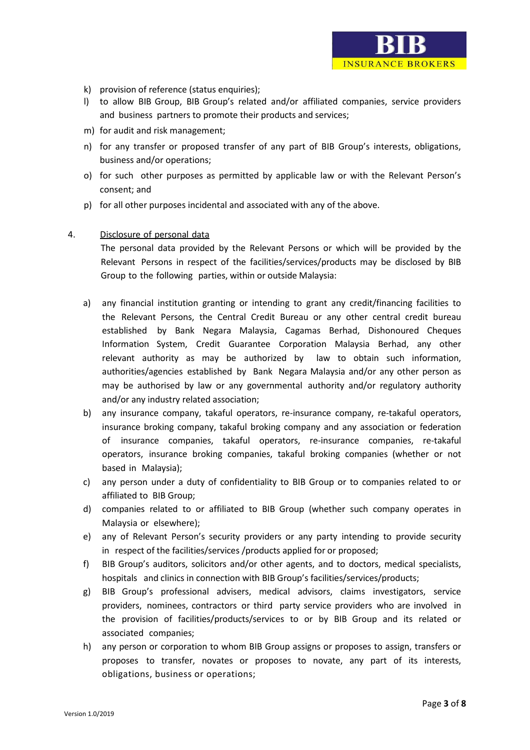l) to allow BIB Group, BIB Group's related and/or affiliated companies, service providers and business partners to promote their products and services;

**INSURANCE BROKERS** 

- m) for audit and risk management;
- n) for any transfer or proposed transfer of any part of BIB Group's interests, obligations, business and/or operations;
- o) for such other purposes as permitted by applicable law or with the Relevant Person's consent; and
- p) for all other purposes incidental and associated with any of the above.

## 4. Disclosure of personal data

The personal data provided by the Relevant Persons or which will be provided by the Relevant Persons in respect of the facilities/services/products may be disclosed by BIB Group to the following parties, within or outside Malaysia:

- a) any financial institution granting or intending to grant any credit/financing facilities to the Relevant Persons, the Central Credit Bureau or any other central credit bureau established by Bank Negara Malaysia, Cagamas Berhad, Dishonoured Cheques Information System, Credit Guarantee Corporation Malaysia Berhad, any other relevant authority as may be authorized by law to obtain such information, authorities/agencies established by Bank Negara Malaysia and/or any other person as may be authorised by law or any governmental authority and/or regulatory authority and/or any industry related association;
- b) any insurance company, takaful operators, re-insurance company, re-takaful operators, insurance broking company, takaful broking company and any association or federation of insurance companies, takaful operators, re-insurance companies, re-takaful operators, insurance broking companies, takaful broking companies (whether or not based in Malaysia);
- c) any person under a duty of confidentiality to BIB Group or to companies related to or affiliated to BIB Group;
- d) companies related to or affiliated to BIB Group (whether such company operates in Malaysia or elsewhere);
- e) any of Relevant Person's security providers or any party intending to provide security in respect of the facilities/services /products applied for or proposed;
- f) BIB Group's auditors, solicitors and/or other agents, and to doctors, medical specialists, hospitals and clinics in connection with BIB Group's facilities/services/products;
- g) BIB Group's professional advisers, medical advisors, claims investigators, service providers, nominees, contractors or third party service providers who are involved in the provision of facilities/products/services to or by BIB Group and its related or associated companies;
- h) any person or corporation to whom BIB Group assigns or proposes to assign, transfers or proposes to transfer, novates or proposes to novate, any part of its interests, obligations, business or operations;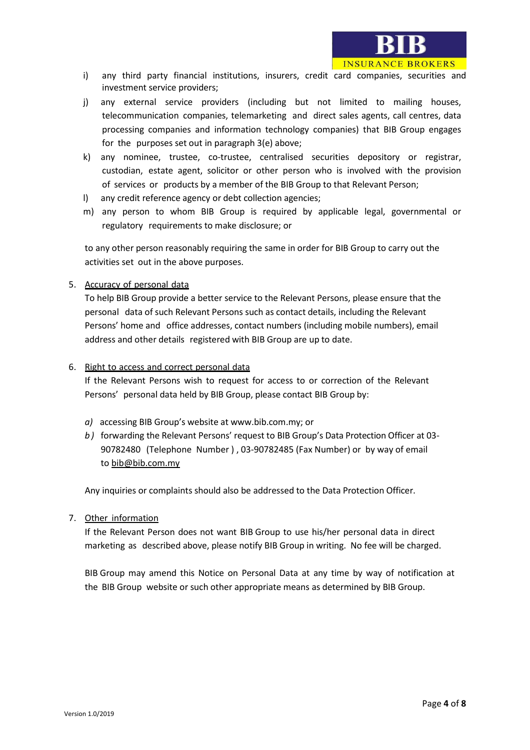

- i) any third party financial institutions, insurers, credit card companies, securities and investment service providers;
- j) any external service providers (including but not limited to mailing houses, telecommunication companies, telemarketing and direct sales agents, call centres, data processing companies and information technology companies) that BIB Group engages for the purposes set out in paragraph 3(e) above;
- k) any nominee, trustee, co-trustee, centralised securities depository or registrar, custodian, estate agent, solicitor or other person who is involved with the provision of services or products by a member of the BIB Group to that Relevant Person;
- l) any credit reference agency or debt collection agencies;
- m) any person to whom BIB Group is required by applicable legal, governmental or regulatory requirements to make disclosure; or

to any other person reasonably requiring the same in order for BIB Group to carry out the activities set out in the above purposes.

5. Accuracy of personal data

To help BIB Group provide a better service to the Relevant Persons, please ensure that the personal data of such Relevant Persons such as contact details, including the Relevant Persons' home and office addresses, contact numbers (including mobile numbers), email address and other details registered with BIB Group are up to date.

### 6. Right to access and correct personal data

If the Relevant Persons wish to request for access to or correction of the Relevant Persons' personal data held by BIB Group, please contact BIB Group by:

- *a)* accessing BIB Group's website at www.bib.com.my; or
- *b )* forwarding the Relevant Persons' request to BIB Group's Data Protection Officer at 03- 90782480 (Telephone Number ) , 03-90782485 (Fax Number) or by way of email to bib@bib.com.my

Any inquiries or complaints should also be addressed to the Data Protection Officer.

#### 7. Other information

If the Relevant Person does not want BIB Group to use his/her personal data in direct marketing as described above, please notify BIB Group in writing. No fee will be charged.

BIB Group may amend this Notice on Personal Data at any time by way of notification at the BIB Group website or such other appropriate means as determined by BIB Group.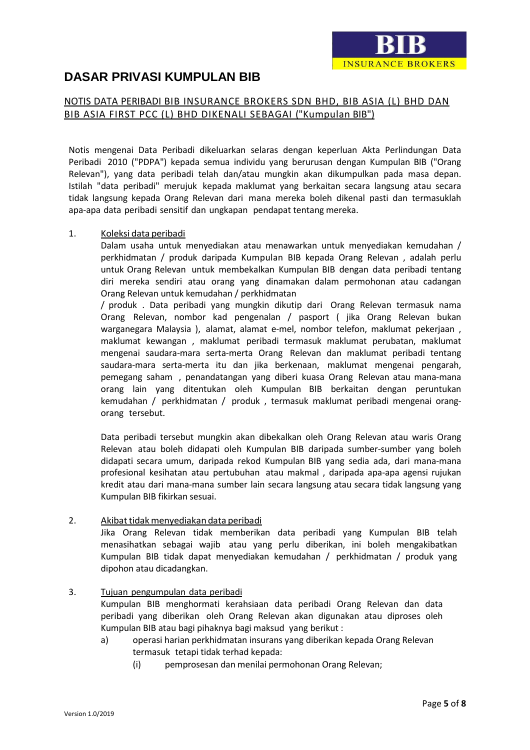

# **DASAR PRIVASI KUMPULAN BIB**

# NOTIS DATA PERIBADI BIB INSURANCE BROKERS SDN BHD, BIB ASIA (L) BHD DAN BIB ASIA FIRST PCC (L) BHD DIKENALI SEBAGAI ("Kumpulan BIB")

Notis mengenai Data Peribadi dikeluarkan selaras dengan keperluan Akta Perlindungan Data Peribadi 2010 ("PDPA") kepada semua individu yang berurusan dengan Kumpulan BIB ("Orang Relevan"), yang data peribadi telah dan/atau mungkin akan dikumpulkan pada masa depan. Istilah "data peribadi" merujuk kepada maklumat yang berkaitan secara langsung atau secara tidak langsung kepada Orang Relevan dari mana mereka boleh dikenal pasti dan termasuklah apa-apa data peribadi sensitif dan ungkapan pendapat tentang mereka.

## 1. Koleksi data peribadi

Dalam usaha untuk menyediakan atau menawarkan untuk menyediakan kemudahan / perkhidmatan / produk daripada Kumpulan BIB kepada Orang Relevan , adalah perlu untuk Orang Relevan untuk membekalkan Kumpulan BIB dengan data peribadi tentang diri mereka sendiri atau orang yang dinamakan dalam permohonan atau cadangan Orang Relevan untuk kemudahan / perkhidmatan

/ produk . Data peribadi yang mungkin dikutip dari Orang Relevan termasuk nama Orang Relevan, nombor kad pengenalan / pasport ( jika Orang Relevan bukan warganegara Malaysia ), alamat, alamat e-mel, nombor telefon, maklumat pekerjaan , maklumat kewangan , maklumat peribadi termasuk maklumat perubatan, maklumat mengenai saudara-mara serta-merta Orang Relevan dan maklumat peribadi tentang saudara-mara serta-merta itu dan jika berkenaan, maklumat mengenai pengarah, pemegang saham , penandatangan yang diberi kuasa Orang Relevan atau mana-mana orang lain yang ditentukan oleh Kumpulan BIB berkaitan dengan peruntukan kemudahan / perkhidmatan / produk , termasuk maklumat peribadi mengenai orangorang tersebut.

Data peribadi tersebut mungkin akan dibekalkan oleh Orang Relevan atau waris Orang Relevan atau boleh didapati oleh Kumpulan BIB daripada sumber-sumber yang boleh didapati secara umum, daripada rekod Kumpulan BIB yang sedia ada, dari mana-mana profesional kesihatan atau pertubuhan atau makmal , daripada apa-apa agensi rujukan kredit atau dari mana-mana sumber lain secara langsung atau secara tidak langsung yang Kumpulan BIB fikirkan sesuai.

## 2. Akibat tidak menyediakan data peribadi

Jika Orang Relevan tidak memberikan data peribadi yang Kumpulan BIB telah menasihatkan sebagai wajib atau yang perlu diberikan, ini boleh mengakibatkan Kumpulan BIB tidak dapat menyediakan kemudahan / perkhidmatan / produk yang dipohon atau dicadangkan.

## 3. Tujuan pengumpulan data peribadi

Kumpulan BIB menghormati kerahsiaan data peribadi Orang Relevan dan data peribadi yang diberikan oleh Orang Relevan akan digunakan atau diproses oleh Kumpulan BIB atau bagi pihaknya bagi maksud yang berikut :

- a) operasi harian perkhidmatan insurans yang diberikan kepada Orang Relevan termasuk tetapi tidak terhad kepada:
	- (i) pemprosesan dan menilai permohonan Orang Relevan;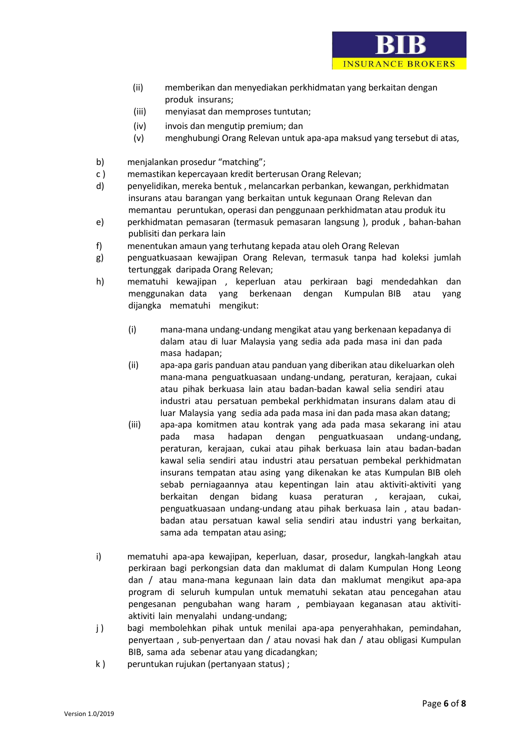

**INSURANCE BROKERS** 

- (iii) menyiasat dan memproses tuntutan;
- (iv) invois dan mengutip premium; dan
- (v) menghubungi Orang Relevan untuk apa-apa maksud yang tersebut di atas,
- b) menjalankan prosedur "matching";
- c ) memastikan kepercayaan kredit berterusan Orang Relevan;
- d) penyelidikan, mereka bentuk , melancarkan perbankan, kewangan, perkhidmatan insurans atau barangan yang berkaitan untuk kegunaan Orang Relevan dan memantau peruntukan, operasi dan penggunaan perkhidmatan atau produk itu
- e) perkhidmatan pemasaran (termasuk pemasaran langsung ), produk , bahan-bahan publisiti dan perkara lain
- f) menentukan amaun yang terhutang kepada atau oleh Orang Relevan
- g) penguatkuasaan kewajipan Orang Relevan, termasuk tanpa had koleksi jumlah tertunggak daripada Orang Relevan;
- h) mematuhi kewajipan , keperluan atau perkiraan bagi mendedahkan dan menggunakan data yang berkenaan dengan Kumpulan BIB atau yang dijangka mematuhi mengikut:
	- (i) mana-mana undang-undang mengikat atau yang berkenaan kepadanya di dalam atau di luar Malaysia yang sedia ada pada masa ini dan pada masa hadapan;
	- (ii) apa-apa garis panduan atau panduan yang diberikan atau dikeluarkan oleh mana-mana penguatkuasaan undang-undang, peraturan, kerajaan, cukai atau pihak berkuasa lain atau badan-badan kawal selia sendiri atau industri atau persatuan pembekal perkhidmatan insurans dalam atau di luar Malaysia yang sedia ada pada masa ini dan pada masa akan datang;
	- (iii) apa-apa komitmen atau kontrak yang ada pada masa sekarang ini atau pada masa hadapan dengan penguatkuasaan undang-undang, peraturan, kerajaan, cukai atau pihak berkuasa lain atau badan-badan kawal selia sendiri atau industri atau persatuan pembekal perkhidmatan insurans tempatan atau asing yang dikenakan ke atas Kumpulan BIB oleh sebab perniagaannya atau kepentingan lain atau aktiviti-aktiviti yang berkaitan dengan bidang kuasa peraturan , kerajaan, cukai, penguatkuasaan undang-undang atau pihak berkuasa lain , atau badanbadan atau persatuan kawal selia sendiri atau industri yang berkaitan, sama ada tempatan atau asing;
- i) mematuhi apa-apa kewajipan, keperluan, dasar, prosedur, langkah-langkah atau perkiraan bagi perkongsian data dan maklumat di dalam Kumpulan Hong Leong dan / atau mana-mana kegunaan lain data dan maklumat mengikut apa-apa program di seluruh kumpulan untuk mematuhi sekatan atau pencegahan atau pengesanan pengubahan wang haram , pembiayaan keganasan atau aktivitiaktiviti lain menyalahi undang-undang;
- j) bagi membolehkan pihak untuk menilai apa-apa penyerahhakan, pemindahan, penyertaan , sub-penyertaan dan / atau novasi hak dan / atau obligasi Kumpulan BIB, sama ada sebenar atau yang dicadangkan;
- k ) peruntukan rujukan (pertanyaan status) ;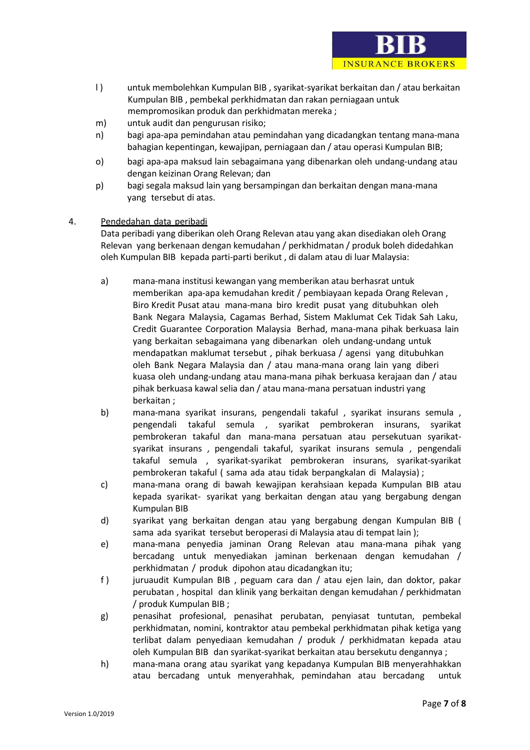

**INSURANCE BROKERS** 

- m) untuk audit dan pengurusan risiko;
- n) bagi apa-apa pemindahan atau pemindahan yang dicadangkan tentang mana-mana bahagian kepentingan, kewajipan, perniagaan dan / atau operasi Kumpulan BIB;
- o) bagi apa-apa maksud lain sebagaimana yang dibenarkan oleh undang-undang atau dengan keizinan Orang Relevan; dan
- p) bagi segala maksud lain yang bersampingan dan berkaitan dengan mana-mana yang tersebut di atas.

#### 4. Pendedahan data peribadi

Data peribadi yang diberikan oleh Orang Relevan atau yang akan disediakan oleh Orang Relevan yang berkenaan dengan kemudahan / perkhidmatan / produk boleh didedahkan oleh Kumpulan BIB kepada parti-parti berikut , di dalam atau di luar Malaysia:

- a) mana-mana institusi kewangan yang memberikan atau berhasrat untuk memberikan apa-apa kemudahan kredit / pembiayaan kepada Orang Relevan , Biro Kredit Pusat atau mana-mana biro kredit pusat yang ditubuhkan oleh Bank Negara Malaysia, Cagamas Berhad, Sistem Maklumat Cek Tidak Sah Laku, Credit Guarantee Corporation Malaysia Berhad, mana-mana pihak berkuasa lain yang berkaitan sebagaimana yang dibenarkan oleh undang-undang untuk mendapatkan maklumat tersebut , pihak berkuasa / agensi yang ditubuhkan oleh Bank Negara Malaysia dan / atau mana-mana orang lain yang diberi kuasa oleh undang-undang atau mana-mana pihak berkuasa kerajaan dan / atau pihak berkuasa kawal selia dan / atau mana-mana persatuan industri yang berkaitan ;
- b) mana-mana syarikat insurans, pengendali takaful , syarikat insurans semula , pengendali takaful semula , syarikat pembrokeran insurans, syarikat pembrokeran takaful dan mana-mana persatuan atau persekutuan syarikatsyarikat insurans , pengendali takaful, syarikat insurans semula , pengendali takaful semula , syarikat-syarikat pembrokeran insurans, syarikat-syarikat pembrokeran takaful ( sama ada atau tidak berpangkalan di Malaysia) ;
- c) mana-mana orang di bawah kewajipan kerahsiaan kepada Kumpulan BIB atau kepada syarikat- syarikat yang berkaitan dengan atau yang bergabung dengan Kumpulan BIB
- d) syarikat yang berkaitan dengan atau yang bergabung dengan Kumpulan BIB ( sama ada syarikat tersebut beroperasi di Malaysia atau di tempat lain );
- e) mana-mana penyedia jaminan Orang Relevan atau mana-mana pihak yang bercadang untuk menyediakan jaminan berkenaan dengan kemudahan / perkhidmatan / produk dipohon atau dicadangkan itu;
- f ) juruaudit Kumpulan BIB , peguam cara dan / atau ejen lain, dan doktor, pakar perubatan , hospital dan klinik yang berkaitan dengan kemudahan / perkhidmatan / produk Kumpulan BIB ;
- g) penasihat profesional, penasihat perubatan, penyiasat tuntutan, pembekal perkhidmatan, nomini, kontraktor atau pembekal perkhidmatan pihak ketiga yang terlibat dalam penyediaan kemudahan / produk / perkhidmatan kepada atau oleh Kumpulan BIB dan syarikat-syarikat berkaitan atau bersekutu dengannya ;
- h) mana-mana orang atau syarikat yang kepadanya Kumpulan BIB menyerahhakkan atau bercadang untuk menyerahhak, pemindahan atau bercadang untuk